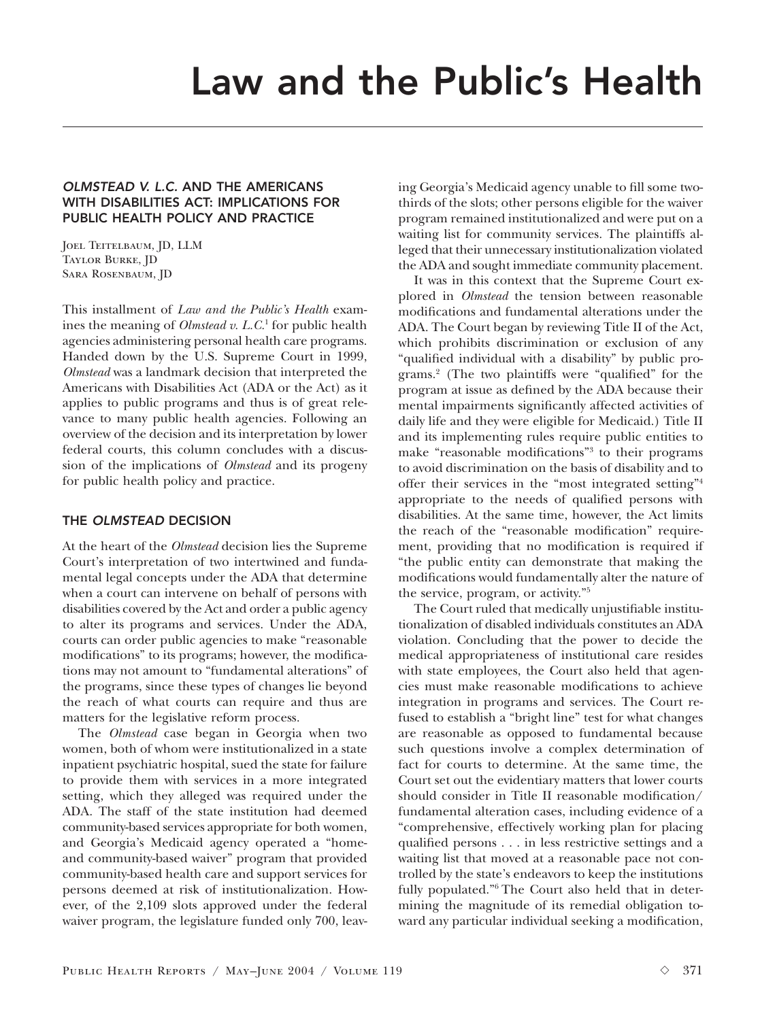## OLMSTEAD V. L.C. AND THE AMERICANS WITH DISABILITIES ACT: IMPLICATIONS FOR PUBLIC HEALTH POLICY AND PRACTICE

JOEL TEITELBAUM, JD, LLM Taylor Burke, JD Sara Rosenbaum, JD

This installment of *Law and the Public's Health* examines the meaning of *Olmstead v. L.C.*<sup>1</sup> for public health agencies administering personal health care programs. Handed down by the U.S. Supreme Court in 1999, *Olmstead* was a landmark decision that interpreted the Americans with Disabilities Act (ADA or the Act) as it applies to public programs and thus is of great relevance to many public health agencies. Following an overview of the decision and its interpretation by lower federal courts, this column concludes with a discussion of the implications of *Olmstead* and its progeny for public health policy and practice.

# THE OLMSTEAD DECISION

At the heart of the *Olmstead* decision lies the Supreme Court's interpretation of two intertwined and fundamental legal concepts under the ADA that determine when a court can intervene on behalf of persons with disabilities covered by the Act and order a public agency to alter its programs and services. Under the ADA, courts can order public agencies to make "reasonable modifications" to its programs; however, the modifications may not amount to "fundamental alterations" of the programs, since these types of changes lie beyond the reach of what courts can require and thus are matters for the legislative reform process.

The *Olmstead* case began in Georgia when two women, both of whom were institutionalized in a state inpatient psychiatric hospital, sued the state for failure to provide them with services in a more integrated setting, which they alleged was required under the ADA. The staff of the state institution had deemed community-based services appropriate for both women, and Georgia's Medicaid agency operated a "homeand community-based waiver" program that provided community-based health care and support services for persons deemed at risk of institutionalization. However, of the 2,109 slots approved under the federal waiver program, the legislature funded only 700, leaving Georgia's Medicaid agency unable to fill some twothirds of the slots; other persons eligible for the waiver program remained institutionalized and were put on a waiting list for community services. The plaintiffs alleged that their unnecessary institutionalization violated the ADA and sought immediate community placement.

It was in this context that the Supreme Court explored in *Olmstead* the tension between reasonable modifications and fundamental alterations under the ADA. The Court began by reviewing Title II of the Act, which prohibits discrimination or exclusion of any "qualified individual with a disability" by public programs.2 (The two plaintiffs were "qualified" for the program at issue as defined by the ADA because their mental impairments significantly affected activities of daily life and they were eligible for Medicaid.) Title II and its implementing rules require public entities to make "reasonable modifications"3 to their programs to avoid discrimination on the basis of disability and to offer their services in the "most integrated setting"4 appropriate to the needs of qualified persons with disabilities. At the same time, however, the Act limits the reach of the "reasonable modification" requirement, providing that no modification is required if "the public entity can demonstrate that making the modifications would fundamentally alter the nature of the service, program, or activity."5

The Court ruled that medically unjustifiable institutionalization of disabled individuals constitutes an ADA violation. Concluding that the power to decide the medical appropriateness of institutional care resides with state employees, the Court also held that agencies must make reasonable modifications to achieve integration in programs and services. The Court refused to establish a "bright line" test for what changes are reasonable as opposed to fundamental because such questions involve a complex determination of fact for courts to determine. At the same time, the Court set out the evidentiary matters that lower courts should consider in Title II reasonable modification/ fundamental alteration cases, including evidence of a "comprehensive, effectively working plan for placing qualified persons . . . in less restrictive settings and a waiting list that moved at a reasonable pace not controlled by the state's endeavors to keep the institutions fully populated."6 The Court also held that in determining the magnitude of its remedial obligation toward any particular individual seeking a modification,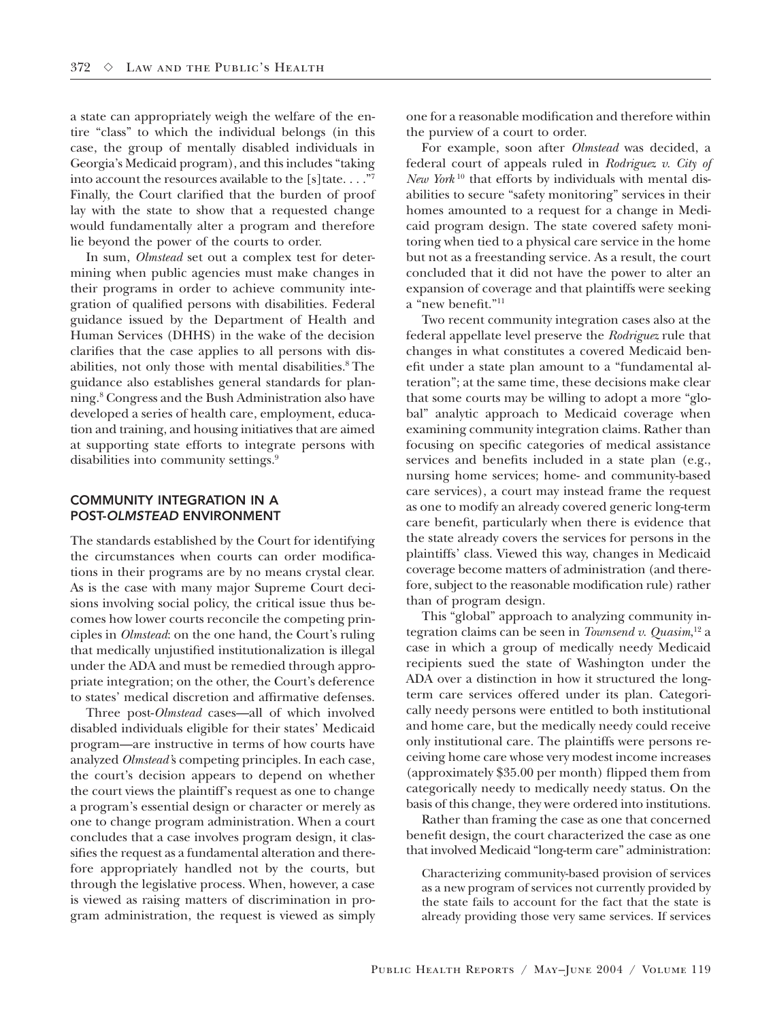a state can appropriately weigh the welfare of the entire "class" to which the individual belongs (in this case, the group of mentally disabled individuals in Georgia's Medicaid program), and this includes "taking into account the resources available to the [s] tate.  $\dots$ ."7 Finally, the Court clarified that the burden of proof lay with the state to show that a requested change would fundamentally alter a program and therefore lie beyond the power of the courts to order.

In sum, *Olmstead* set out a complex test for determining when public agencies must make changes in their programs in order to achieve community integration of qualified persons with disabilities. Federal guidance issued by the Department of Health and Human Services (DHHS) in the wake of the decision clarifies that the case applies to all persons with disabilities, not only those with mental disabilities.<sup>8</sup> The guidance also establishes general standards for planning.8 Congress and the Bush Administration also have developed a series of health care, employment, education and training, and housing initiatives that are aimed at supporting state efforts to integrate persons with disabilities into community settings.<sup>9</sup>

#### COMMUNITY INTEGRATION IN A POST-OLMSTEAD ENVIRONMENT

The standards established by the Court for identifying the circumstances when courts can order modifications in their programs are by no means crystal clear. As is the case with many major Supreme Court decisions involving social policy, the critical issue thus becomes how lower courts reconcile the competing principles in *Olmstead*: on the one hand, the Court's ruling that medically unjustified institutionalization is illegal under the ADA and must be remedied through appropriate integration; on the other, the Court's deference to states' medical discretion and affirmative defenses.

Three post-*Olmstead* cases—all of which involved disabled individuals eligible for their states' Medicaid program—are instructive in terms of how courts have analyzed *Olmstead'*s competing principles. In each case, the court's decision appears to depend on whether the court views the plaintiff's request as one to change a program's essential design or character or merely as one to change program administration. When a court concludes that a case involves program design, it classifies the request as a fundamental alteration and therefore appropriately handled not by the courts, but through the legislative process. When, however, a case is viewed as raising matters of discrimination in program administration, the request is viewed as simply one for a reasonable modification and therefore within the purview of a court to order.

For example, soon after *Olmstead* was decided, a federal court of appeals ruled in *Rodriguez v. City of New York* <sup>10</sup> that efforts by individuals with mental disabilities to secure "safety monitoring" services in their homes amounted to a request for a change in Medicaid program design. The state covered safety monitoring when tied to a physical care service in the home but not as a freestanding service. As a result, the court concluded that it did not have the power to alter an expansion of coverage and that plaintiffs were seeking a "new benefit."11

Two recent community integration cases also at the federal appellate level preserve the *Rodriguez* rule that changes in what constitutes a covered Medicaid benefit under a state plan amount to a "fundamental alteration"; at the same time, these decisions make clear that some courts may be willing to adopt a more "global" analytic approach to Medicaid coverage when examining community integration claims. Rather than focusing on specific categories of medical assistance services and benefits included in a state plan (e.g., nursing home services; home- and community-based care services), a court may instead frame the request as one to modify an already covered generic long-term care benefit, particularly when there is evidence that the state already covers the services for persons in the plaintiffs' class. Viewed this way, changes in Medicaid coverage become matters of administration (and therefore, subject to the reasonable modification rule) rather than of program design.

This "global" approach to analyzing community integration claims can be seen in *Townsend v. Quasim*, 12 a case in which a group of medically needy Medicaid recipients sued the state of Washington under the ADA over a distinction in how it structured the longterm care services offered under its plan. Categorically needy persons were entitled to both institutional and home care, but the medically needy could receive only institutional care. The plaintiffs were persons receiving home care whose very modest income increases (approximately \$35.00 per month) flipped them from categorically needy to medically needy status. On the basis of this change, they were ordered into institutions.

Rather than framing the case as one that concerned benefit design, the court characterized the case as one that involved Medicaid "long-term care" administration:

Characterizing community-based provision of services as a new program of services not currently provided by the state fails to account for the fact that the state is already providing those very same services. If services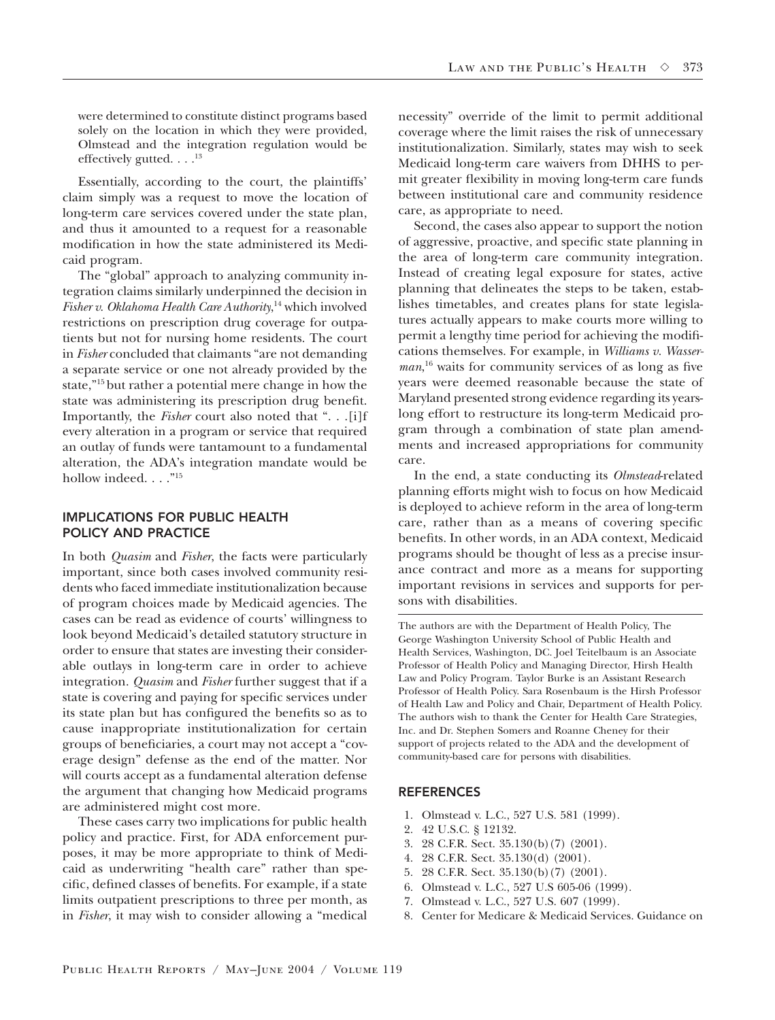were determined to constitute distinct programs based solely on the location in which they were provided, Olmstead and the integration regulation would be effectively gutted.  $\ldots$ <sup>13</sup>

Essentially, according to the court, the plaintiffs' claim simply was a request to move the location of long-term care services covered under the state plan, and thus it amounted to a request for a reasonable modification in how the state administered its Medicaid program.

The "global" approach to analyzing community integration claims similarly underpinned the decision in *Fisher v. Oklahoma Health Care Authority*, <sup>14</sup> which involved restrictions on prescription drug coverage for outpatients but not for nursing home residents. The court in *Fisher* concluded that claimants "are not demanding a separate service or one not already provided by the state,"15 but rather a potential mere change in how the state was administering its prescription drug benefit. Importantly, the *Fisher* court also noted that ". . .[i]f every alteration in a program or service that required an outlay of funds were tantamount to a fundamental alteration, the ADA's integration mandate would be hollow indeed. . . .  $.^{"15}$ 

### IMPLICATIONS FOR PUBLIC HEALTH POLICY AND PRACTICE

In both *Quasim* and *Fisher*, the facts were particularly important, since both cases involved community residents who faced immediate institutionalization because of program choices made by Medicaid agencies. The cases can be read as evidence of courts' willingness to look beyond Medicaid's detailed statutory structure in order to ensure that states are investing their considerable outlays in long-term care in order to achieve integration. *Quasim* and *Fisher* further suggest that if a state is covering and paying for specific services under its state plan but has configured the benefits so as to cause inappropriate institutionalization for certain groups of beneficiaries, a court may not accept a "coverage design" defense as the end of the matter. Nor will courts accept as a fundamental alteration defense the argument that changing how Medicaid programs are administered might cost more.

These cases carry two implications for public health policy and practice. First, for ADA enforcement purposes, it may be more appropriate to think of Medicaid as underwriting "health care" rather than specific, defined classes of benefits. For example, if a state limits outpatient prescriptions to three per month, as in *Fisher*, it may wish to consider allowing a "medical necessity" override of the limit to permit additional coverage where the limit raises the risk of unnecessary institutionalization. Similarly, states may wish to seek Medicaid long-term care waivers from DHHS to permit greater flexibility in moving long-term care funds between institutional care and community residence care, as appropriate to need.

Second, the cases also appear to support the notion of aggressive, proactive, and specific state planning in the area of long-term care community integration. Instead of creating legal exposure for states, active planning that delineates the steps to be taken, establishes timetables, and creates plans for state legislatures actually appears to make courts more willing to permit a lengthy time period for achieving the modifications themselves. For example, in *Williams v. Wasserman*, <sup>16</sup> waits for community services of as long as five years were deemed reasonable because the state of Maryland presented strong evidence regarding its yearslong effort to restructure its long-term Medicaid program through a combination of state plan amendments and increased appropriations for community care.

In the end, a state conducting its *Olmstead*-related planning efforts might wish to focus on how Medicaid is deployed to achieve reform in the area of long-term care, rather than as a means of covering specific benefits. In other words, in an ADA context, Medicaid programs should be thought of less as a precise insurance contract and more as a means for supporting important revisions in services and supports for persons with disabilities.

The authors are with the Department of Health Policy, The George Washington University School of Public Health and Health Services, Washington, DC. Joel Teitelbaum is an Associate Professor of Health Policy and Managing Director, Hirsh Health Law and Policy Program. Taylor Burke is an Assistant Research Professor of Health Policy. Sara Rosenbaum is the Hirsh Professor of Health Law and Policy and Chair, Department of Health Policy. The authors wish to thank the Center for Health Care Strategies, Inc. and Dr. Stephen Somers and Roanne Cheney for their support of projects related to the ADA and the development of community-based care for persons with disabilities.

#### **REFERENCES**

- 1. Olmstead v. L.C., 527 U.S. 581 (1999).
- 2. 42 U.S.C. § 12132.
- 3. 28 C.F.R. Sect. 35.130(b)(7) (2001).
- 4. 28 C.F.R. Sect. 35.130(d) (2001).
- 5. 28 C.F.R. Sect. 35.130(b)(7) (2001).
- 6. Olmstead v. L.C., 527 U.S 605-06 (1999).
- 7. Olmstead v. L.C., 527 U.S. 607 (1999).
- 8. Center for Medicare & Medicaid Services. Guidance on